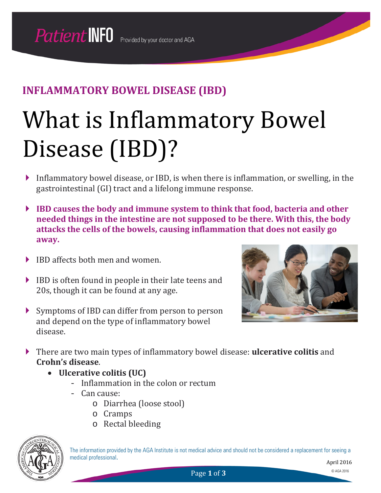## **INFLAMMATORY BOWEL DISEASE (IBD)**

# What is Inflammatory Bowel Disease (IBD)?

- Inflammatory bowel disease, or IBD, is when there is inflammation, or swelling, in the gastrointestinal (GI) tract and a lifelong immune response.
- **IBD causes the body and immune system to think that food, bacteria and other needed things in the intestine are not supposed to be there. With this, the body attacks the cells of the bowels, causing inflammation that does not easily go away.**
- ▶ IBD affects both men and women.
- IBD is often found in people in their late teens and 20s, though it can be found at any age.
- Symptoms of IBD can differ from person to person and depend on the type of inflammatory bowel disease.



- There are two main types of inflammatory bowel disease: **ulcerative colitis** and **Crohn's disease**.
	- **Ulcerative colitis (UC)**
		- Inflammation in the colon or rectum
		- Can cause:
			- o Diarrhea (loose stool)
			- o Cramps
			- o Rectal bleeding



The information provided by the AGA Institute is not medical advice and should not be considered a replacement for seeing a medical professional.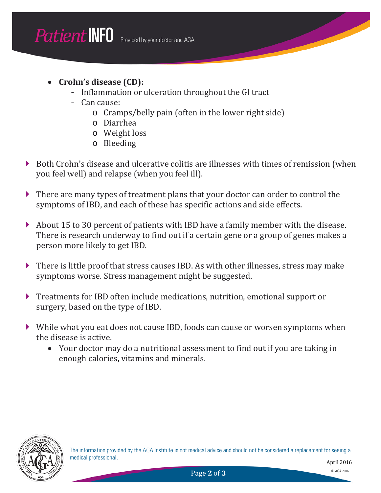- **Crohn's disease (CD):**
	- Inflammation or ulceration throughout the GI tract
	- Can cause:
		- o Cramps/belly pain (often in the lower right side)
		- o Diarrhea
		- o Weight loss
		- o Bleeding
- Both Crohn's disease and ulcerative colitis are illnesses with times of remission (when you feel well) and relapse (when you feel ill).
- There are many types of treatment plans that your doctor can order to control the symptoms of IBD, and each of these has specific actions and side effects.
- About 15 to 30 percent of patients with IBD have a family member with the disease. There is research underway to find out if a certain gene or a group of genes makes a person more likely to get IBD.
- There is little proof that stress causes IBD. As with other illnesses, stress may make symptoms worse. Stress management might be suggested.
- Treatments for IBD often include medications, nutrition, emotional support or surgery, based on the type of IBD.
- While what you eat does not cause IBD, foods can cause or worsen symptoms when the disease is active.
	- Your doctor may do a nutritional assessment to find out if you are taking in enough calories, vitamins and minerals.



The information provided by the AGA Institute is not medical advice and should not be considered a replacement for seeing a medical professional.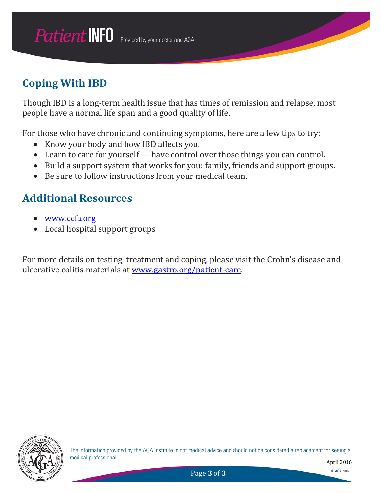## **Coping With IBD**

Though IBD is a long-term health issue that has times of remission and relapse, most people have a normal life span and a good quality of life.

For those who have chronic and continuing symptoms, here are a few tips to try:

- Know your body and how IBD affects you.
- Learn to care for yourself have control over those things you can control.
- Build a support system that works for you: family, friends and support groups.
- Be sure to follow instructions from your medical team.

## **Additional Resources**

- [www.ccfa.org](http://www.ccfa.org/)
- Local hospital support groups

For more details on testing, treatment and coping, please visit the Crohn's disease and ulcerative colitis materials at [www.gastro.org/patient-care.](http://www.gastro.org/patient-care)

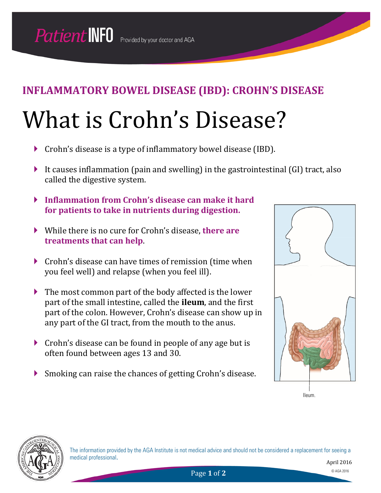## What is Crohn's Disease?

- Crohn's disease is a type of inflammatory bowel disease (IBD).
- It causes inflammation (pain and swelling) in the gastrointestinal (GI) tract, also called the digestive system.
- **Inflammation from Crohn's disease can make it hard for patients to take in nutrients during digestion.**
- While there is no cure for Crohn's disease, **there are treatments that can help**.
- ▶ Crohn's disease can have times of remission (time when you feel well) and relapse (when you feel ill).
- The most common part of the body affected is the lower part of the small intestine, called the **ileum**, and the first part of the colon. However, Crohn's disease can show up in any part of the GI tract, from the mouth to the anus.
- Crohn's disease can be found in people of any age but is often found between ages 13 and 30.
- Smoking can raise the chances of getting Crohn's disease.



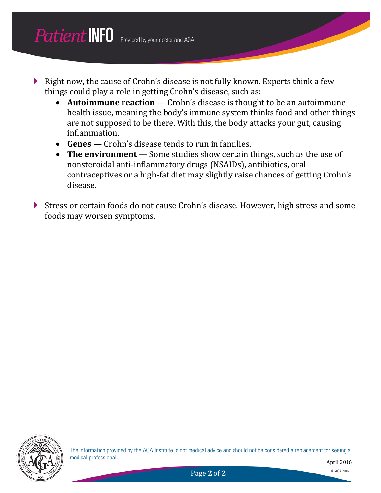- Right now, the cause of Crohn's disease is not fully known. Experts think a few things could play a role in getting Crohn's disease, such as:
	- **Autoimmune reaction** Crohn's disease is thought to be an autoimmune health issue, meaning the body's immune system thinks food and other things are not supposed to be there. With this, the body attacks your gut, causing inflammation.
	- **Genes** Crohn's disease tends to run in families.
	- **The environment** Some studies show certain things, such as the use of nonsteroidal anti-inflammatory drugs (NSAIDs), antibiotics, oral contraceptives or a high-fat diet may slightly raise chances of getting Crohn's disease.
- Stress or certain foods do not cause Crohn's disease. However, high stress and some foods may worsen symptoms.

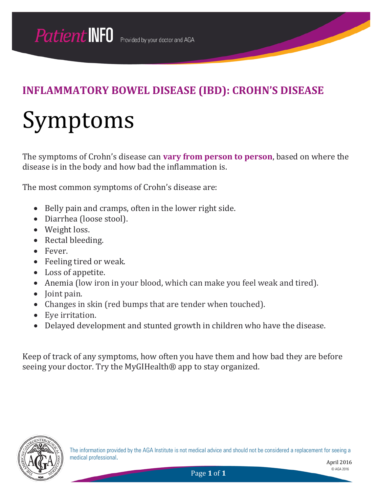# Symptoms

The symptoms of Crohn's disease can **vary from person to person**, based on where the disease is in the body and how bad the inflammation is.

The most common symptoms of Crohn's disease are:

- Belly pain and cramps, often in the lower right side.
- Diarrhea (loose stool).
- Weight loss.
- Rectal bleeding.
- Fever.
- Feeling tired or weak.
- Loss of appetite.
- Anemia (low iron in your blood, which can make you feel weak and tired).
- Joint pain.
- Changes in skin (red bumps that are tender when touched).
- Eye irritation.
- Delayed development and stunted growth in children who have the disease.

Keep of track of any symptoms, how often you have them and how bad they are before seeing your doctor. Try the MyGIHealth<sup>®</sup> app to stay organized.



The information provided by the AGA Institute is not medical advice and should not be considered a replacement for seeing a medical professional.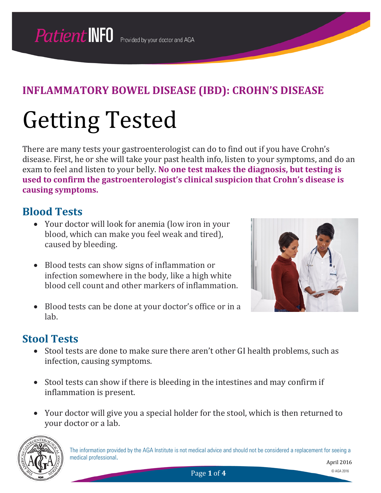# Getting Tested

There are many tests your gastroenterologist can do to find out if you have Crohn's disease. First, he or she will take your past health info, listen to your symptoms, and do an exam to feel and listen to your belly. **No one test makes the diagnosis, but testing is used to confirm the gastroenterologist's clinical suspicion that Crohn's disease is causing symptoms.**

## **Blood Tests**

- Your doctor will look for anemia (low iron in your blood, which can make you feel weak and tired), caused by bleeding.
- Blood tests can show signs of inflammation or infection somewhere in the body, like a high white blood cell count and other markers of inflammation.
- Blood tests can be done at your doctor's office or in a lab.

## **Stool Tests**

- Stool tests are done to make sure there aren't other GI health problems, such as infection, causing symptoms.
- Stool tests can show if there is bleeding in the intestines and may confirm if inflammation is present.
- Your doctor will give you a special holder for the stool, which is then returned to your doctor or a lab.



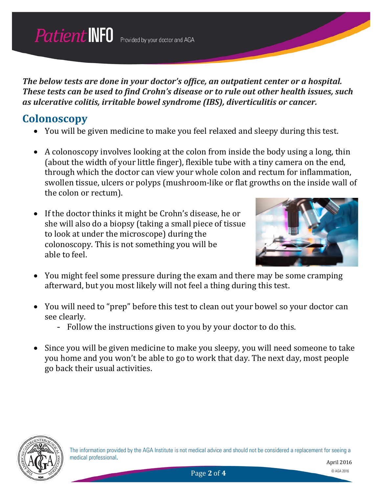*The below tests are done in your doctor's office, an outpatient center or a hospital. These tests can be used to find Crohn's disease or to rule out other health issues, such as ulcerative colitis, irritable bowel syndrome (IBS), diverticulitis or cancer.*

## **Colonoscopy**

- You will be given medicine to make you feel relaxed and sleepy during this test.
- A colonoscopy involves looking at the colon from inside the body using a long, thin (about the width of your little finger), flexible tube with a tiny camera on the end, through which the doctor can view your whole colon and rectum for inflammation, swollen tissue, ulcers or polyps (mushroom-like or flat growths on the inside wall of the colon or rectum).
- If the doctor thinks it might be Crohn's disease, he or she will also do a biopsy (taking a small piece of tissue to look at under the microscope) during the colonoscopy. This is not something you will be able to feel.



- You might feel some pressure during the exam and there may be some cramping afterward, but you most likely will not feel a thing during this test.
- You will need to "prep" before this test to clean out your bowel so your doctor can see clearly.
	- Follow the instructions given to you by your doctor to do this.
- Since you will be given medicine to make you sleepy, you will need someone to take you home and you won't be able to go to work that day. The next day, most people go back their usual activities.

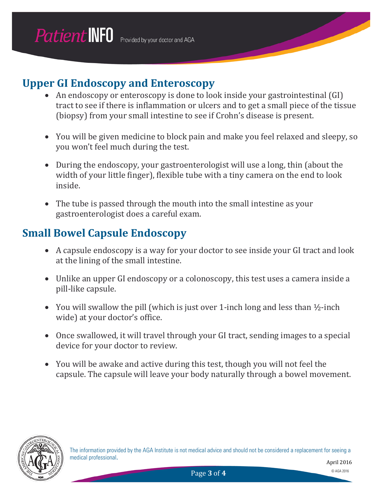## **Upper GI Endoscopy and Enteroscopy**

- An endoscopy or enteroscopy is done to look inside your gastrointestinal (GI) tract to see if there is inflammation or ulcers and to get a small piece of the tissue (biopsy) from your small intestine to see if Crohn's disease is present.
- You will be given medicine to block pain and make you feel relaxed and sleepy, so you won't feel much during the test.
- During the endoscopy, your gastroenterologist will use a long, thin (about the width of your little finger), flexible tube with a tiny camera on the end to look inside.
- The tube is passed through the mouth into the small intestine as your gastroenterologist does a careful exam.

## **Small Bowel Capsule Endoscopy**

- A capsule endoscopy is a way for your doctor to see inside your GI tract and look at the lining of the small intestine.
- Unlike an upper GI endoscopy or a colonoscopy, this test uses a camera inside a pill-like capsule.
- You will swallow the pill (which is just over 1-inch long and less than  $\frac{1}{2}$ -inch wide) at your doctor's office.
- Once swallowed, it will travel through your GI tract, sending images to a special device for your doctor to review.
- You will be awake and active during this test, though you will not feel the capsule. The capsule will leave your body naturally through a bowel movement.

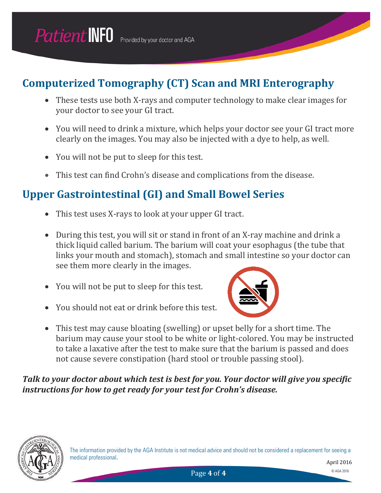## **Computerized Tomography (CT) Scan and MRI Enterography**

- These tests use both X-rays and computer technology to make clear images for your doctor to see your GI tract.
- You will need to drink a mixture, which helps your doctor see your GI tract more clearly on the images. You may also be injected with a dye to help, as well.
- You will not be put to sleep for this test.
- This test can find Crohn's disease and complications from the disease.

## **Upper Gastrointestinal (GI) and Small Bowel Series**

- This test uses X-rays to look at your upper GI tract.
- During this test, you will sit or stand in front of an X-ray machine and drink a thick liquid called barium. The barium will coat your esophagus (the tube that links your mouth and stomach), stomach and small intestine so your doctor can see them more clearly in the images.
- You will not be put to sleep for this test.
- You should not eat or drink before this test.



• This test may cause bloating (swelling) or upset belly for a short time. The barium may cause your stool to be white or light-colored. You may be instructed to take a laxative after the test to make sure that the barium is passed and does not cause severe constipation (hard stool or trouble passing stool).

*Talk to your doctor about which test is best for you. Your doctor will give you specific instructions for how to get ready for your test for Crohn's disease.*

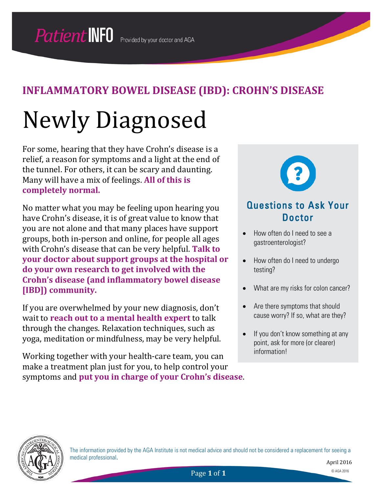# Newly Diagnosed

For some, hearing that they have Crohn's disease is a relief, a reason for symptoms and a light at the end of the tunnel. For others, it can be scary and daunting. Many will have a mix of feelings. **All of this is completely normal.**

No matter what you may be feeling upon hearing you have Crohn's disease, it is of great value to know that you are not alone and that many places have support groups, both in-person and online, for people all ages with Crohn's disease that can be very helpful. **Talk to your doctor about support groups at the hospital or do your own research to get involved with the Crohn's disease (and inflammatory bowel disease [IBD]) community.**

If you are overwhelmed by your new diagnosis, don't wait to **reach out to a mental health expert** to talk through the changes. Relaxation techniques, such as yoga, meditation or mindfulness, may be very helpful.

Working together with your health-care team, you can make a treatment plan just for you, to help control your symptoms and **put you in charge of your Crohn's disease**.



### Questions to Ask Your Doctor

- How often do I need to see a gastroenterologist?
- How often do I need to undergo testing?
- What are my risks for colon cancer?
- Are there symptoms that should cause worry? If so, what are they?
- If you don't know something at any point, ask for more (or clearer) information!



The information provided by the AGA Institute is not medical advice and should not be considered a replacement for seeing a medical professional.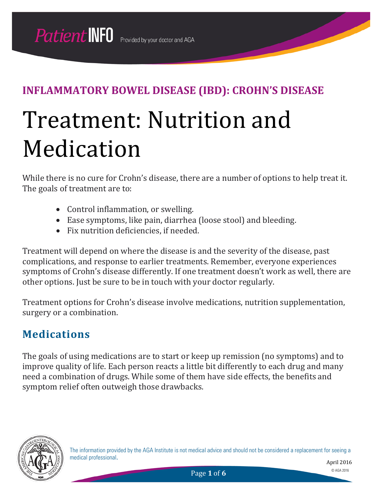# Treatment: Nutrition and Medication

While there is no cure for Crohn's disease, there are a number of options to help treat it. The goals of treatment are to:

- Control inflammation, or swelling.
- Ease symptoms, like pain, diarrhea (loose stool) and bleeding.
- Fix nutrition deficiencies, if needed.

Treatment will depend on where the disease is and the severity of the disease, past complications, and response to earlier treatments. Remember, everyone experiences symptoms of Crohn's disease differently. If one treatment doesn't work as well, there are other options. Just be sure to be in touch with your doctor regularly.

Treatment options for Crohn's disease involve medications, nutrition supplementation, surgery or a combination.

## **Medications**

The goals of using medications are to start or keep up remission (no symptoms) and to improve quality of life. Each person reacts a little bit differently to each drug and many need a combination of drugs. While some of them have side effects, the benefits and symptom relief often outweigh those drawbacks.



The information provided by the AGA Institute is not medical advice and should not be considered a replacement for seeing a medical professional.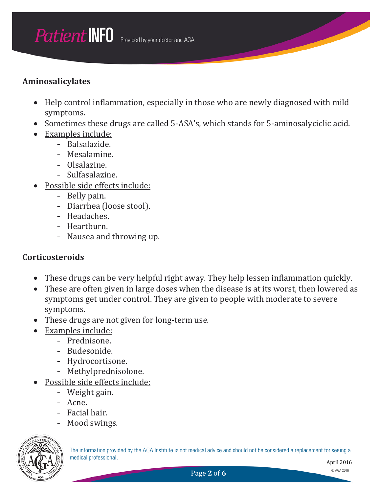#### **Aminosalicylates**

- Help control inflammation, especially in those who are newly diagnosed with mild symptoms.
- Sometimes these drugs are called 5-ASA's, which stands for 5-aminosalyciclic acid.
- Examples include:
	- Balsalazide.
	- Mesalamine.
	- Olsalazine.
	- Sulfasalazine.
- Possible side effects include:
	- Belly pain.
	- Diarrhea (loose stool).
	- Headaches.
	- Heartburn.
	- Nausea and throwing up.

#### **Corticosteroids**

- These drugs can be very helpful right away. They help lessen inflammation quickly.
- These are often given in large doses when the disease is at its worst, then lowered as symptoms get under control. They are given to people with moderate to severe symptoms.
- These drugs are not given for long-term use.
- Examples include:
	- Prednisone.
	- Budesonide.
	- Hydrocortisone.
	- Methylprednisolone.
- Possible side effects include:
	- Weight gain.
	- Acne.
	- Facial hair.
	- Mood swings.



The information provided by the AGA Institute is not medical advice and should not be considered a replacement for seeing a medical professional.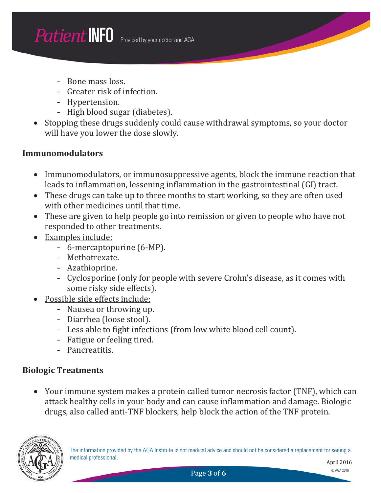- Bone mass loss.
- Greater risk of infection.
- Hypertension.
- High blood sugar (diabetes).
- Stopping these drugs suddenly could cause withdrawal symptoms, so your doctor will have you lower the dose slowly.

#### **Immunomodulators**

- Immunomodulators, or immunosuppressive agents, block the immune reaction that leads to inflammation, lessening inflammation in the gastrointestinal (GI) tract.
- These drugs can take up to three months to start working, so they are often used with other medicines until that time.
- These are given to help people go into remission or given to people who have not responded to other treatments.
- Examples include:
	- 6-mercaptopurine (6-MP).
	- Methotrexate.
	- Azathioprine.
	- Cyclosporine (only for people with severe Crohn's disease, as it comes with some risky side effects).
- Possible side effects include:
	- Nausea or throwing up.
	- Diarrhea (loose stool).
	- Less able to fight infections (from low white blood cell count).
	- Fatigue or feeling tired.
	- Pancreatitis.

#### **Biologic Treatments**

• Your immune system makes a protein called tumor necrosis factor (TNF), which can attack healthy cells in your body and can cause inflammation and damage. Biologic drugs, also called anti-TNF blockers, help block the action of the TNF protein.

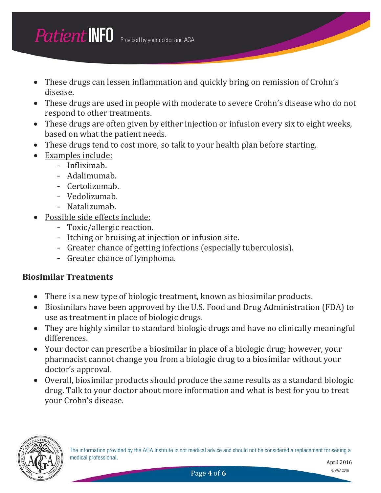- These drugs can lessen inflammation and quickly bring on remission of Crohn's disease.
- These drugs are used in people with moderate to severe Crohn's disease who do not respond to other treatments.
- These drugs are often given by either injection or infusion every six to eight weeks, based on what the patient needs.
- These drugs tend to cost more, so talk to your health plan before starting.
- Examples include:
	- Infliximab.
	- Adalimumab.
	- Certolizumab.
	- Vedolizumab.
	- Natalizumab.
- Possible side effects include:
	- Toxic/allergic reaction.
	- Itching or bruising at injection or infusion site.
	- Greater chance of getting infections (especially tuberculosis).
	- Greater chance of lymphoma.

#### **Biosimilar Treatments**

- There is a new type of biologic treatment, known as biosimilar products.
- Biosimilars have been approved by the U.S. Food and Drug Administration (FDA) to use as treatment in place of biologic drugs.
- They are highly similar to standard biologic drugs and have no clinically meaningful differences.
- Your doctor can prescribe a biosimilar in place of a biologic drug; however, your pharmacist cannot change you from a biologic drug to a biosimilar without your doctor's approval.
- Overall, biosimilar products should produce the same results as a standard biologic drug. Talk to your doctor about more information and what is best for you to treat your Crohn's disease.



Page 4 of **6** © AGA 2016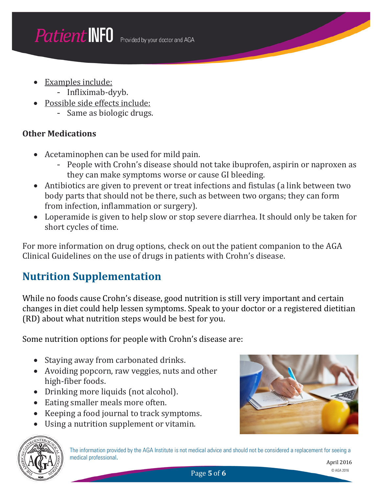- Examples include:
	- Infliximab-dyyb.
- Possible side effects include:
	- Same as biologic drugs.

#### **Other Medications**

- Acetaminophen can be used for mild pain.
	- People with Crohn's disease should not take ibuprofen, aspirin or naproxen as they can make symptoms worse or cause GI bleeding.
- Antibiotics are given to prevent or treat infections and fistulas (a link between two body parts that should not be there, such as between two organs; they can form from infection, inflammation or surgery).
- Loperamide is given to help slow or stop severe diarrhea. It should only be taken for short cycles of time.

For more information on drug options, check on out the patient companion to the AGA Clinical Guidelines on the use of drugs in patients with Crohn's disease.

## **Nutrition Supplementation**

While no foods cause Crohn's disease, good nutrition is still very important and certain changes in diet could help lessen symptoms. Speak to your doctor or a registered dietitian (RD) about what nutrition steps would be best for you.

Some nutrition options for people with Crohn's disease are:

- Staying away from carbonated drinks.
- Avoiding popcorn, raw veggies, nuts and other high-fiber foods.
- Drinking more liquids (not alcohol).
- Eating smaller meals more often.
- Keeping a food journal to track symptoms.
- Using a nutrition supplement or vitamin.





The information provided by the AGA Institute is not medical advice and should not be considered a replacement for seeing a medical professional.

April 2016

Page **5** of **6** © AGA 2016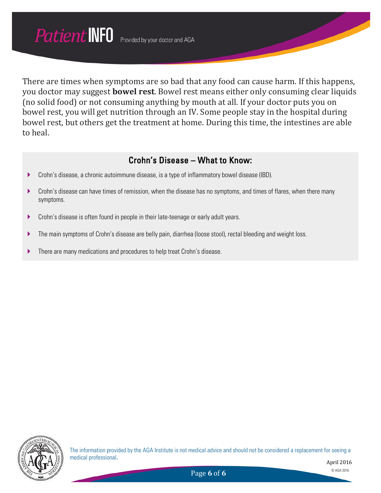There are times when symptoms are so bad that any food can cause harm. If this happens, you doctor may suggest **bowel rest**. Bowel rest means either only consuming clear liquids (no solid food) or not consuming anything by mouth at all. If your doctor puts you on bowel rest, you will get nutrition through an IV. Some people stay in the hospital during bowel rest, but others get the treatment at home. During this time, the intestines are able to heal.

#### Crohn's Disease – What to Know:

- Crohn's disease, a chronic autoimmune disease, is a type of inflammatory bowel disease (IBD).
- **Crohn's disease can have times of remission, when the disease has no symptoms, and times of flares, when there many** symptoms.
- ▶ Crohn's disease is often found in people in their late-teenage or early adult years.
- The main symptoms of Crohn's disease are belly pain, diarrhea (loose stool), rectal bleeding and weight loss.
- **There are many medications and procedures to help treat Crohn's disease.**



The information provided by the AGA Institute is not medical advice and should not be considered a replacement for seeing a medical professional.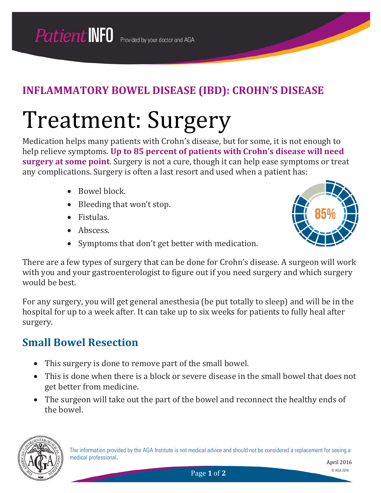# Treatment: Surgery

Medication helps many patients with Crohn's disease, but for some, it is not enough to help relieve symptoms. **Up to 85 percent of patients with Crohn's disease will need surgery at some point**. Surgery is not a cure, though it can help ease symptoms or treat any complications. Surgery is often a last resort and used when a patient has:

- Bowel block.
- Bleeding that won't stop.
- Fistulas.
- Abscess.
- Symptoms that don't get better with medication.



There are a few types of surgery that can be done for Crohn's disease. A surgeon will work with you and your gastroenterologist to figure out if you need surgery and which surgery would be best.

For any surgery, you will get general anesthesia (be put totally to sleep) and will be in the hospital for up to a week after. It can take up to six weeks for patients to fully heal after surgery.

## **Small Bowel Resection**

- This surgery is done to remove part of the small bowel.
- This is done when there is a block or severe disease in the small bowel that does not get better from medicine.
- The surgeon will take out the part of the bowel and reconnect the healthy ends of the bowel.

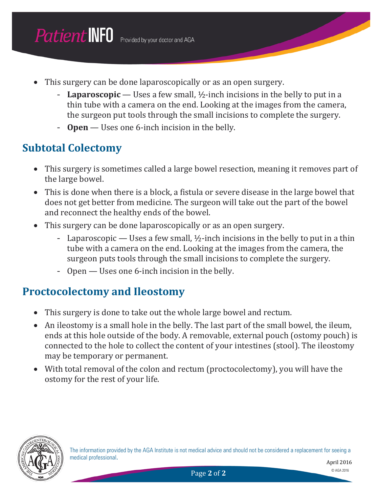- This surgery can be done laparoscopically or as an open surgery.
	- **Laparoscopic** Uses a few small, ½-inch incisions in the belly to put in a thin tube with a camera on the end. Looking at the images from the camera, the surgeon put tools through the small incisions to complete the surgery.
	- **Open** Uses one 6-inch incision in the belly.

## **Subtotal Colectomy**

- This surgery is sometimes called a large bowel resection, meaning it removes part of the large bowel.
- This is done when there is a block, a fistula or severe disease in the large bowel that does not get better from medicine. The surgeon will take out the part of the bowel and reconnect the healthy ends of the bowel.
- This surgery can be done laparoscopically or as an open surgery.
	- Laparoscopic Uses a few small, ½-inch incisions in the belly to put in a thin tube with a camera on the end. Looking at the images from the camera, the surgeon puts tools through the small incisions to complete the surgery.
	- Open Uses one 6-inch incision in the belly.

## **Proctocolectomy and Ileostomy**

- This surgery is done to take out the whole large bowel and rectum.
- An ileostomy is a small hole in the belly. The last part of the small bowel, the ileum, ends at this hole outside of the body. A removable, external pouch (ostomy pouch) is connected to the hole to collect the content of your intestines (stool). The ileostomy may be temporary or permanent.
- With total removal of the colon and rectum (proctocolectomy), you will have the ostomy for the rest of your life.

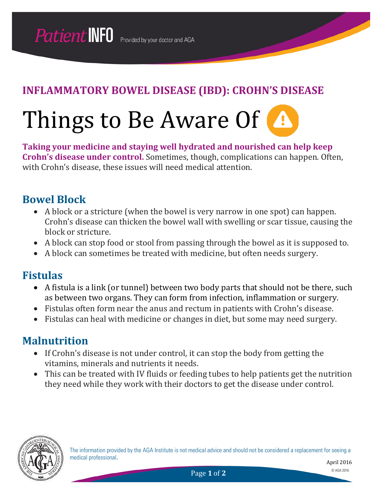# Things to Be Aware Of **A**

**Taking your medicine and staying well hydrated and nourished can help keep Crohn's disease under control.** Sometimes, though, complications can happen. Often, with Crohn's disease, these issues will need medical attention.

### **Bowel Block**

- A block or a stricture (when the bowel is very narrow in one spot) can happen. Crohn's disease can thicken the bowel wall with swelling or scar tissue, causing the block or stricture.
- A block can stop food or stool from passing through the bowel as it is supposed to.
- A block can sometimes be treated with medicine, but often needs surgery.

### **Fistulas**

- A fistula is a link (or tunnel) between two body parts that should not be there, such as between two organs. They can form from infection, inflammation or surgery.
- Fistulas often form near the anus and rectum in patients with Crohn's disease.
- Fistulas can heal with medicine or changes in diet, but some may need surgery.

### **Malnutrition**

- If Crohn's disease is not under control, it can stop the body from getting the vitamins, minerals and nutrients it needs.
- This can be treated with IV fluids or feeding tubes to help patients get the nutrition they need while they work with their doctors to get the disease under control.